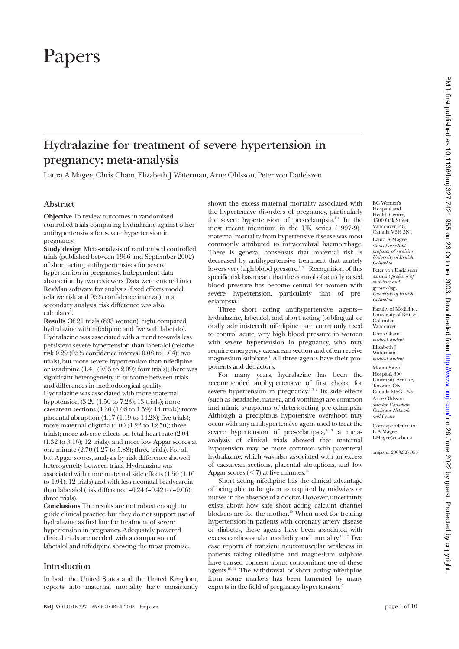# Papers

## **Hydralazine for treatment of severe hypertension in pregnancy: meta-analysis**

Laura A Magee, Chris Cham, Elizabeth J Waterman, Arne Ohlsson, Peter von Dadelszen

#### **Abstract**

**Objective** To review outcomes in randomised controlled trials comparing hydralazine against other antihypertensives for severe hypertension in pregnancy.

**Study design** Meta-analysis of randomised controlled trials (published between 1966 and September 2002) of short acting antihypertensives for severe hypertension in pregnancy. Independent data abstraction by two reviewers. Data were entered into RevMan software for analysis (fixed effects model, relative risk and 95% confidence interval); in a secondary analysis, risk difference was also calculated.

**Results** Of 21 trials (893 women), eight compared hydralazine with nifedipine and five with labetalol. Hydralazine was associated with a trend towards less persistent severe hypertension than labetalol (relative risk 0.29 (95% confidence interval 0.08 to 1.04); two trials), but more severe hypertension than nifedipine or isradipine (1.41 (0.95 to 2.09); four trials); there was significant heterogeneity in outcome between trials and differences in methodological quality. Hydralazine was associated with more maternal hypotension (3.29 (1.50 to 7.23); 13 trials); more caesarean sections  $(1.30 (1.08 \text{ to } 1.59); 14 \text{ trials})$ ; more placental abruption (4.17 (1.19 to 14.28); five trials); more maternal oliguria (4.00 (1.22 to 12.50); three trials); more adverse effects on fetal heart rate (2.04 (1.32 to 3.16); 12 trials); and more low Apgar scores at one minute (2.70 (1.27 to 5.88); three trials). For all but Apgar scores, analysis by risk difference showed heterogeneity between trials. Hydralazine was associated with more maternal side effects (1.50 (1.16 to 1.94); 12 trials) and with less neonatal bradycardia than labetalol (risk difference  $-0.24$  ( $-0.42$  to  $-0.06$ ); three trials).

**Conclusions** The results are not robust enough to guide clinical practice, but they do not support use of hydralazine as first line for treatment of severe hypertension in pregnancy. Adequately powered clinical trials are needed, with a comparison of labetalol and nifedipine showing the most promise.

#### **Introduction**

In both the United States and the United Kingdom, reports into maternal mortality have consistently shown the excess maternal mortality associated with the hypertensive disorders of pregnancy, particularly the severe hypertension of pre-eclampsia.<sup>1-6</sup> In the most recent triennium in the UK series  $(1997-9)$ ,<sup>6</sup> maternal mortality from hypertensive disease was most commonly attributed to intracerebral haemorrhage. There is general consensus that maternal risk is decreased by antihypertensive treatment that acutely lowers very high blood pressure.<sup>178</sup> Recognition of this specific risk has meant that the control of acutely raised blood pressure has become central for women with severe hypertension, particularly that of preeclampsia.<sup>6</sup>

Three short acting antihypertensive agents hydralazine, labetalol, and short acting (sublingual or orally administered) nifedipine—are commonly used to control acute, very high blood pressure in women with severe hypertension in pregnancy, who may require emergency caesarean section and often receive magnesium sulphate.<sup>1</sup> All three agents have their proponents and detractors.

For many years, hydralazine has been the recommended antihypertensive of first choice for severe hypertension in pregnancy.<sup>178</sup> Its side effects (such as headache, nausea, and vomiting) are common and mimic symptoms of deteriorating pre-eclampsia. Although a precipitous hypotensive overshoot may occur with any antihypertensive agent used to treat the severe hypertension of pre-eclampsia, $9-13$  a metaanalysis of clinical trials showed that maternal hypotension may be more common with parenteral hydralazine, which was also associated with an excess of caesarean sections, placental abruptions, and low Apgar scores  $(< 7$ ) at five minutes.<sup>14</sup>

Short acting nifedipine has the clinical advantage of being able to be given as required by midwives or nurses in the absence of a doctor. However, uncertainty exists about how safe short acting calcium channel blockers are for the mother.<sup>15</sup> When used for treating hypertension in patients with coronary artery disease or diabetes, these agents have been associated with excess cardiovascular morbidity and mortality.16 17 Two case reports of transient neuromuscular weakness in patients taking nifedipine and magnesium sulphate have caused concern about concomitant use of these agents.18 19 The withdrawal of short acting nifedipine from some markets has been lamented by many experts in the field of pregnancy hypertension. $20$ 

BC Women's Hospital and Health Centre, 4500 Oak Street, Vancouver, BC, Canada V6H 3N1 Laura A Magee *clinical assistant professor of medicine, University of British Columbia* Peter von Dadelszen *assistant professor of*

*obstetrics and gynaecology, University of British Columbia*

Faculty of Medicine, University of British Columbia, Vancouver Chris Cham *medical student* Elizabeth J Waterman *medical student*

Mount Sinai Hospital, 600 University Avenue, Toronto, ON, Canada M5G 1X5 Arne Ohlsson *director, Canadian Cochrane Network and Centre*

Correspondence to: L A Magee LMagee@cw.bc.ca

bmj.com 2003;327:955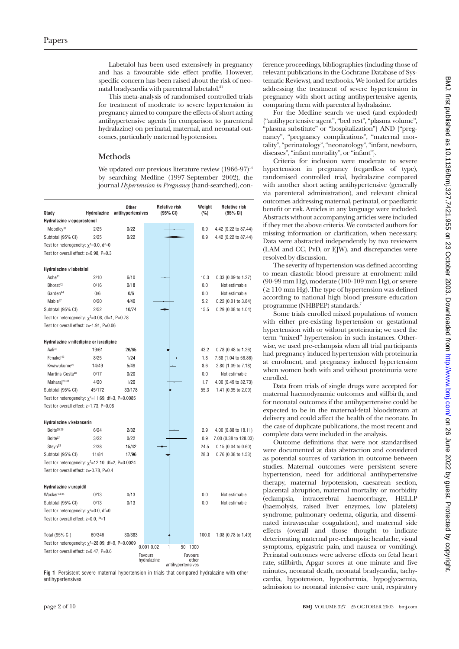Labetalol has been used extensively in pregnancy and has a favourable side effect profile. However, specific concern has been raised about the risk of neonatal bradycardia with parenteral labetalol.<sup>21</sup>

This meta-analysis of randomised controlled trials for treatment of moderate to severe hypertension in pregnancy aimed to compare the effects of short acting antihypertensive agents (in comparison to parenteral hydralazine) on perinatal, maternal, and neonatal outcomes, particularly maternal hypotension.

#### **Methods**

We updated our previous literature review  $(1966-97)^{14}$ by searching Medline (1997-September 2002), the journal *Hypertension in Pregnancy* (hand-searched), con-

|                                                         |             | Other             | <b>Relative risk</b>                       | Weight | <b>Relative risk</b>  |
|---------------------------------------------------------|-------------|-------------------|--------------------------------------------|--------|-----------------------|
| Study                                                   | Hydralazine | antihypertensives | (95% CI)                                   | (%)    | (95% CI)              |
| Hydralazine v epoprostenol                              |             |                   |                                            |        |                       |
| Moodley <sup>32</sup>                                   | 2/25        | 0/22              |                                            | 0.9    | 4.42 (0.22 to 87.44)  |
| Subtotal (95% CI)                                       | 2/25        | 0/22              |                                            | 0.9    | 4.42 (0.22 to 87.44)  |
| Test for heterogeneity: $\chi^2$ =0.0, df=0             |             |                   |                                            |        |                       |
| Test for overall effect: z=0.98, P=0.3                  |             |                   |                                            |        |                       |
| Hydralazine v labetalol                                 |             |                   |                                            |        |                       |
| Ashe41                                                  | 2/10        | 6/10              |                                            | 10.3   | 0.33 (0.09 to 1.27)   |
| Bhorat <sup>42</sup>                                    | 0/16        | 0/18              |                                            | 0.0    | Not estimable         |
| Garden <sup>44</sup>                                    | 0/6         | 0/6               |                                            | 0.0    | Not estimable         |
| Mahie <sup>47</sup>                                     | 0/20        | 4/40              |                                            | 5.2    | 0.22 (0.01 to 3.84)   |
| Subtotal (95% CI)                                       | 2/52        | 10/74             |                                            | 15.5   | 0.29 (0.08 to 1.04)   |
| Test for heterogeneity: $\chi^2$ =0.08, df=1, P=0.78    |             |                   |                                            |        |                       |
| Test for overall effect: z=-1.91, P=0.06                |             |                   |                                            |        |                       |
|                                                         |             |                   |                                            |        |                       |
| Hydralazine v nifedipine or isradipine                  |             |                   |                                            |        |                       |
| Aali <sup>36</sup>                                      | 19/61       | 26/65             |                                            | 43.2   | 0.78 (0.48 to 1.26)   |
| Fenakel <sup>43</sup>                                   | 8/25        | 1/24              |                                            | 1.8    | 7.68 (1.04 to 56.86)  |
| Kwawukume <sup>28</sup>                                 | 14/49       | 5/49              |                                            | 8.6    | 2.80 (1.09 to 7.18)   |
| Martins-Costa <sup>48</sup>                             | 0/17        | 0/20              |                                            | 0.0    | Not estimable         |
| Maharaj <sup>29-31</sup>                                | 4/20        | 1/20              |                                            | 1.7    | 4.00 (0.49 to 32.73)  |
| Subtotal (95% CI)                                       | 45/172      | 33/178            |                                            | 55.3   | 1.41 (0.95 to 2.09)   |
| Test for heterogeneity: $\chi^2$ =11.69, df=3, P=0.0085 |             |                   |                                            |        |                       |
| Test for overall effect: z=1.73, P=0.08                 |             |                   |                                            |        |                       |
|                                                         |             |                   |                                            |        |                       |
| Hydralazine v ketanserin                                |             |                   |                                            |        |                       |
| Bolte <sup>25</sup> $26$                                | 6/24        | 2/32              |                                            | 2.9    | 4.00 (0.88 to 18.11)  |
| Bolte <sup>37</sup>                                     | 3/22        | 0/22              |                                            | 0.9    | 7.00 (0.38 to 128.03) |
| Steyn <sup>33</sup>                                     | 2/38        | 15/42             |                                            | 24.5   | 0.15(0.04 to 0.60)    |
| Subtotal (95% CI)                                       | 11/84       | 17/96             |                                            | 28.3   | 0.76 (0.38 to 1.53)   |
| Test for heterogeneity: $\chi^2$ =12.10, df=2, P=0.0024 |             |                   |                                            |        |                       |
| Test for overall effect: z=-0.78. P=0.4                 |             |                   |                                            |        |                       |
|                                                         |             |                   |                                            |        |                       |
| Hydralazine v urapidil                                  |             |                   |                                            |        |                       |
| Wacker <sup>34 35</sup>                                 | 0/13        | 0/13              |                                            | 0.0    | Not estimable         |
| Subtotal (95% CI)                                       | 0/13        | 0/13              |                                            | 0.0    | Not estimable         |
| Test for heterogeneity: $\chi^2$ =0.0, df=0             |             |                   |                                            |        |                       |
| Test for overall effect: z=0.0, P=1                     |             |                   |                                            |        |                       |
|                                                         |             |                   |                                            |        |                       |
| Total (95% CI)                                          | 60/346      | 30/383            |                                            | 100.0  | 1.08 (0.78 to 1.49)   |
| Test for heterogeneity: $\chi^2$ =28.09, df=9, P=0.0009 |             |                   |                                            |        |                       |
| Test for overall effect: z=0.47, P=0.6                  |             |                   | $0.001$ $0.02$<br>50 1000<br>1             |        |                       |
|                                                         |             |                   | Favours<br>Favours<br>hydralazine<br>other |        |                       |
|                                                         |             |                   | antihypertensives                          |        |                       |

**Fig 1** Persistent severe maternal hypertension in trials that compared hydralazine with other antihypertensives

ference proceedings, bibliographies (including those of relevant publications in the Cochrane Database of Systematic Reviews), and textbooks. We looked for articles addressing the treatment of severe hypertension in pregnancy with short acting antihypertensive agents, comparing them with parenteral hydralazine.

For the Medline search we used (and exploded) {"antihypertensive agent", "bed rest", "plasma volume", "plasma substitute" or "hospitalization"} AND {"pregnancy", "pregnancy complications", "maternal mortality", "perinatology", "neonatology", "infant, newborn, diseases", "infant mortality", or "infant"}.

Criteria for inclusion were moderate to severe hypertension in pregnancy (regardless of type), randomised controlled trial, hydralazine compared with another short acting antihypertensive (generally via parenteral administration), and relevant clinical outcomes addressing maternal, perinatal, or paediatric benefit or risk. Articles in any language were included. Abstracts without accompanying articles were included if they met the above criteria. We contacted authors for missing information or clarification, when necessary. Data were abstracted independently by two reviewers  $(LAM$  and  $CC$ ,  $PvD$ , or  $E\hat{I}W$ ), and discrepancies were resolved by discussion.

The severity of hypertension was defined according to mean diastolic blood pressure at enrolment: mild (90-99 mm Hg), moderate (100-109 mm Hg), or severe  $( \geq 110 \text{ mm Hg}).$  The type of hypertension was defined according to national high blood pressure education programme (NHBPEP) standards.<sup>7</sup>

Some trials enrolled mixed populations of women with either pre-existing hypertension or gestational hypertension with or without proteinuria; we used the term "mixed" hypertension in such instances. Otherwise, we used pre-eclampsia when all trial participants had pregnancy induced hypertension with proteinuria at enrolment, and pregnancy induced hypertension when women both with and without proteinuria were enrolled.

Data from trials of single drugs were accepted for maternal haemodynamic outcomes and stillbirth, and for neonatal outcomes if the antihypertensive could be expected to be in the maternal-fetal bloodstream at delivery and could affect the health of the neonate. In the case of duplicate publications, the most recent and complete data were included in the analysis.

Outcome definitions that were not standardised were documented at data abstraction and considered as potential sources of variation in outcome between studies. Maternal outcomes were persistent severe hypertension, need for additional antihypertensive therapy, maternal hypotension, caesarean section, placental abruption, maternal mortality or morbidity (eclampsia, intracerebral haemorrhage, HELLP (haemolysis, raised liver enzymes, low platelets) syndrome, pulmonary oedema, oliguria, and disseminated intravascular coagulation), and maternal side effects (overall and those thought to indicate deteriorating maternal pre-eclampsia: headache, visual symptoms, epigastric pain, and nausea or vomiting). Perinatal outcomes were adverse effects on fetal heart rate, stillbirth, Apgar scores at one minute and five minutes, neonatal death, neonatal bradycardia, tachycardia, hypotension, hypothermia, hypoglycaemia, admission to neonatal intensive care unit, respiratory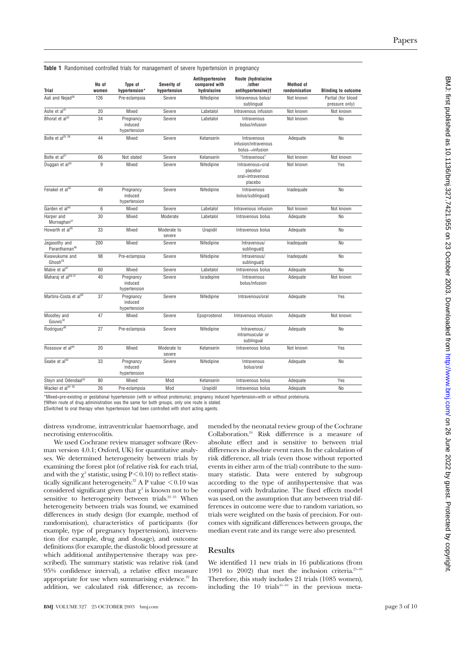| <b>Trial</b>                                   | No of<br>women | Type of<br>hypertension*             | Severity of<br>hypertension | Antihypertensive<br>compared with<br>hydralazine | Route (hydralazine<br>/other<br>antihypertensive)+          | <b>Method</b> of<br>randomisation | <b>Blinding to outcome</b>           |
|------------------------------------------------|----------------|--------------------------------------|-----------------------------|--------------------------------------------------|-------------------------------------------------------------|-----------------------------------|--------------------------------------|
| Aali and Nejad <sup>36</sup>                   | 126            | Pre-eclampsia                        | Severe                      | Nifedipine                                       | Intravenous bolus/<br>sublingual                            | Not known                         | Partial (for blood<br>pressure only) |
| Ashe et al <sup>41</sup>                       | 20             | Mixed                                | Severe                      | Labetalol                                        | Intravenous infusion                                        | Not known                         | Not known                            |
| Bhorat et al <sup>42</sup>                     | 34             | Pregnancy<br>induced<br>hypertension | Severe                      | Labetalol                                        | Intravenous<br>bolus/infusion                               | Not known                         | <b>No</b>                            |
| Bolte et al <sup>25</sup> 26                   | 44             | Mixed                                | Severe                      | Ketanserin                                       | Intravenous<br>infusion/intravenous<br>bolus-infusion       | Adequate                          | No                                   |
| Bolte et al <sup>37</sup>                      | 66             | Not stated                           | Severe                      | Ketanserin                                       | "Intravenous"                                               | Not known                         | Not known                            |
| Duggan et al <sup>39</sup>                     | 9              | Mixed                                | Severe                      | Nifedipine                                       | Intravenous+oral<br>placebo/<br>oral+intravenous<br>placebo | Not known                         | Yes                                  |
| Fenakel et al <sup>43</sup>                    | 49             | Pregnancy<br>induced<br>hypertension | Severe                      | Nifedipine                                       | Intravenous<br>bolus/sublingual‡                            | Inadequate                        | No                                   |
| Garden et al <sup>44</sup>                     | 6              | Mixed                                | Severe                      | Labetalol                                        | Intravenous infusion                                        | Not known                         | Not known                            |
| Harper and<br>Murnaghan <sup>27</sup>          | 30             | Mixed                                | Moderate                    | Labetalol                                        | Intravenous bolus                                           | Adequate                          | No                                   |
| Howarth et al <sup>45</sup>                    | 33             | Mixed                                | Moderate to<br>severe       | Urapidil                                         | Intravenous bolus                                           | Adequate                          | <b>No</b>                            |
| Jegasothy and<br>Paranthaman <sup>46</sup>     | 200            | Mixed                                | Severe                      | Nifedipine                                       | Intravenous/<br>sublingual‡                                 | Inadequate                        | <b>No</b>                            |
| Kwawukume and<br>$G$ hosh <sup>28</sup>        | 98             | Pre-eclampsia                        | Severe                      | Nifedipine                                       | Intravenous/<br>sublingual‡                                 | Inadequate                        | <b>No</b>                            |
| Mabie et al <sup>47</sup>                      | 60             | Mixed                                | Severe                      | Labetalol                                        | Intravenous bolus                                           | Adequate                          | N <sub>o</sub>                       |
| Maharai et al <sup>29-31</sup>                 | 40             | Pregnancy<br>induced<br>hypertension | Severe                      | Isradepine                                       | Intravenous<br>bolus/infusion                               | Adequate                          | Not known                            |
| Martins-Costa et al <sup>48</sup>              | 37             | Pregnancy<br>induced<br>hypertension | Severe                      | Nifedipine                                       | Intravenous/oral                                            | Adequate                          | Yes                                  |
| Moodley and<br>$G$ $O$ $11W$ $S$ <sup>32</sup> | 47             | Mixed                                | Severe                      | Epoprostenol                                     | Intravenous infusion                                        | Adequate                          | Not known                            |
| Rodriguez <sup>40</sup>                        | 27             | Pre-eclampsia                        | Severe                      | Nifedipine                                       | Intravenous./<br>intramuscular or<br>sublingual             | Adequate                          | No                                   |
| Rossouw et al <sup>49</sup>                    | 20             | Mixed                                | Moderate to<br>severe       | Ketanserin                                       | Intravenous bolus                                           | Not known                         | Yes                                  |
| Seabe et al <sup>50</sup>                      | 33             | Pregnancy<br>induced<br>hypertension | Severe                      | Nifedipine                                       | Intravenous<br>bolus/oral                                   | Adequate                          | <b>No</b>                            |
| Steyn and Odendaal <sup>33</sup>               | 80             | Mixed                                | Mod                         | Ketanserin                                       | Intravenous bolus                                           | Adequate                          | Yes                                  |
| Wacker et al <sup>34 35</sup>                  | 26             | Pre-eclampsia                        | Mod                         | Urapidil                                         | Intravenous bolus                                           | Adequate                          | No                                   |

**Table 1** Randomised controlled trials for management of severe hypertension in pregnancy

\*Mixed=pre-existing or gestational hypertension (with or without proteinuria); pregnancy induced hypertension=with or without proteinuria. †When route of drug administration was the same for both groups, only one route is stated.

‡Switched to oral therapy when hypertension had been controlled with short acting agents.

distress syndrome, intraventricular haemorrhage, and necrotising enterocolitis.

We used Cochrane review manager software (Revman version 4.0.1; Oxford, UK) for quantitative analyses. We determined heterogeneity between trials by examining the forest plot (of relative risk for each trial, and with the  $\chi^2$  statistic, using P < 0.10) to reflect statistically significant heterogeneity.<sup>22</sup> A P value  $\leq 0.10$  was considered significant given that  $\chi^2$  is known not to be sensitive to heterogeneity between trials.<sup>22 23</sup> When heterogeneity between trials was found, we examined differences in study design (for example, method of randomisation), characteristics of participants (for example, type of pregnancy hypertension), intervention (for example, drug and dosage), and outcome definitions (for example, the diastolic blood pressure at which additional antihypertensive therapy was prescribed). The summary statistic was relative risk (and 95% confidence interval), a relative effect measure appropriate for use when summarising evidence.<sup>22</sup> In addition, we calculated risk difference, as recom-

**BMJ** VOLUME 327 25 OCTOBER 2003 bmj.com page 3 of 10

mended by the neonatal review group of the Cochrane Collaboration.24 Risk difference is a measure of absolute effect and is sensitive to between trial differences in absolute event rates. In the calculation of risk difference, all trials (even those without reported events in either arm of the trial) contribute to the summary statistic. Data were entered by subgroup according to the type of antihypertensive that was compared with hydralazine. The fixed effects model was used, on the assumption that any between trial differences in outcome were due to random variation, so trials were weighted on the basis of precision. For outcomes with significant differences between groups, the median event rate and its range were also presented.

#### **Results**

We identified 11 new trials in 16 publications (from 1991 to 2002) that met the inclusion criteria. $25-40$ Therefore, this study includes 21 trials (1085 women), including the  $10$  trials<sup>41–50</sup> in the previous meta-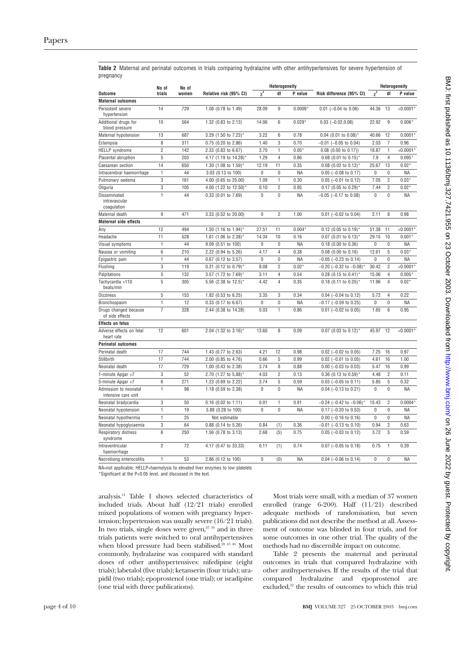|           |  |  |  |  | Table 2 Maternal and perinatal outcomes in trials comparing hydralazine with other antihypertensives for severe hypertension of |  |  |
|-----------|--|--|--|--|---------------------------------------------------------------------------------------------------------------------------------|--|--|
| pregnancy |  |  |  |  |                                                                                                                                 |  |  |

|                                              | No of            | No of |                         |              | Heterogeneity  |           |                                    |              | Heterogeneity  |             |
|----------------------------------------------|------------------|-------|-------------------------|--------------|----------------|-----------|------------------------------------|--------------|----------------|-------------|
| Outcome                                      | trials           | women | Relative risk (95% CI)  | $\chi^2$     | df             | P value   | Risk difference (95% CI)           | $\chi^2$     | df             | P value     |
| <b>Maternal outcomes</b>                     |                  |       |                         |              |                |           |                                    |              |                |             |
| Persistent severe<br>hypertension            | 14               | 729   | 1.08 (0.78 to 1.49)     | 28.09        | 9              | $0.0009*$ | $0.01$ (-0.04 to 0.06)             | 44.36        | 13             | $< 0.0001*$ |
| Additional drugs for<br>blood pressure       | 10               | 564   | 1.32 (0.83 to 2.13)     | 14.06        | 6              | $0.029*$  | $0.03$ $(-0.02, 0.08)$             | 22.92        | 9              | $0.006*$    |
| Maternal hypotension                         | 13               | 687   | 3.29 (1.50 to 7.23)*    | 3.22         | 6              | 0.78      | $0.04$ (0.01 to 0.08)*             | 40.66        | 12             | $0.0001*$   |
| Eclampsia                                    | 8                | 311   | 0.75 (0.20 to 2.86)     | 1.40         | 3              | 0.70      | $-0.01$ ( $-0.05$ to 0.04)         | 2.03         | $\overline{7}$ | 0.96        |
| <b>HELLP</b> syndrome                        | $\overline{2}$   | 142   | 2.33 (0.83 to 6.67)     | 3.70         | 1              | $0.05*$   | $0.08$ (0.00 to 0.17))             | 18.87        | 1              | $< 0.0001*$ |
| Placental abruption                          | 5                | 203   | 4.17 (1.19 to 14.28)    | 1.29         | 4              | 0.86      | $0.08$ (0.01 to 0.15) <sup>*</sup> | 7.9          | 4              | $0.095*$    |
| Caesarean section                            | 14               | 650   | 1.30 (1.08 to 1.59)*    | 12.19        | 11             | 0.35      | $0.08$ (0.02 to 0.13) <sup>*</sup> | 25.67        | 13             | $0.02*$     |
| Intracerebral haemorrhage                    | $\mathbf{1}$     | 44    | 3.03 (0.13 to 100)      | 0            | $\mathbf{0}$   | <b>NA</b> | $0.05$ (-0.08 to 0.17)             | $\mathbf 0$  | 0              | ΝA          |
| Pulmonary oedema                             | 3                | 161   | 4.00 (0.65 to 25.00)    | 1.09         | 1              | 0.30      | $0.05$ (-0.01 to 0.12)             | 7.05         | $\overline{2}$ | $0.03*$     |
| Oliguria                                     | 3                | 105   | 4.00 (1.22 to 12.50)*   | 0.10         | $\overline{2}$ | 0.95      | $0.17$ (0.05 to 0.29) <sup>*</sup> | 7.44         | $\overline{2}$ | $0.02*$     |
| Disseminated<br>intravascular<br>coagulation | $\mathbf{1}$     | 44    | 0.33 (0.01 to 7.69)     | $\mathbf{0}$ | $\mathbf{0}$   | <b>NA</b> | $-0.05$ ( $-0.17$ to 0.08)         | $\mathbf{0}$ | 0              | ΝA          |
| Maternal death                               | $\boldsymbol{9}$ | 471   | 3.33 (0.52 to 20.00)    | $\Omega$     | $\overline{2}$ | 1.00      | $0.01$ (-0.02 to 0.04)             | 2.11         | 8              | 0.98        |
| <b>Maternal side effects</b>                 |                  |       |                         |              |                |           |                                    |              |                |             |
| Any                                          | 12               | 494   | 1.50 (1.16 to 1.94)*    | 27.51        | 11             | 0.004'    | $0.12$ (0.05 to 0.19) <sup>*</sup> | 51.38        | 11             | $< 0.0001*$ |
| Headache                                     | 11               | 528   | 1.61 (1.06 to 2.38)*    | 14.34        | 10             | 0.16      | $0.07$ (0.01 to 0.13) <sup>*</sup> | 29.15        | 10             | $0.001*$    |
| Visual symptoms                              | 1                | 44    | 9.09 (0.51 to 100)      | 0            | $\mathbf{0}$   | <b>NA</b> | $0.18$ (0.00 to 0.36)              | 0            | 0              | ΝA          |
| Nausea or vomiting                           | 6                | 210   | 2.22 (0.94 to 5.26)     | 4.17         | 4              | 0.38      | $0.08$ (0.00 to 0.16)              | 12.61        | 5              | $0.03*$     |
| Epigastric pain                              | $\mathbf{1}$     | 44    | 0.67 (0.12 to 3.57)     | $\Omega$     | $\Omega$       | <b>NA</b> | $-0.05$ ( $-0.23$ to 0.14)         | $\Omega$     | $\mathbf{0}$   | <b>NA</b>   |
| Flushing                                     | 3                | 119   | $0.31$ (0.12 to 0.79)*  | 8.08         | $\overline{2}$ | $0.02*$   | $-0.20$ (-0.32 to $-0.08$ )*       | 30.42        | $\overline{2}$ | < 0.0001    |
| Palpitations                                 | 5                | 132   | 3.57 (1.72 to 7.69)*    | 3.11         | 4              | 0.54      | $0.28$ (0.15 to 0.41) <sup>*</sup> | 15.06        | 4              | $0.005*$    |
| Tachycardia >110<br>beats/min                | 5                | 305   | 5.56 (2.38 to $12.5$ )* | 4.42         | $\overline{4}$ | 0.35      | $0.18$ (0.11 to 0.25) <sup>*</sup> | 11.96        | 4              | $0.02*$     |
| <b>Dizziness</b>                             | 5                | 153   | 1.82 (0.53 to 6.25)     | 3.35         | 3              | 0.34      | $0.04$ (-0.04 to 0.12)             | 5.72         | $\overline{4}$ | 0.22        |
| Bronchospasm                                 | $\mathbf{1}$     | 12    | 0.33 (0.17 to 6.67)     | $\Omega$     | $\mathbf{0}$   | <b>NA</b> | $-0.17$ ( $-0.59$ to 0.25)         | $\Omega$     | 0              | <b>NA</b>   |
| Drugs changed because<br>of side effects     | 7                | 328   | 2.44 (0.38 to 14.28)    | 0.03         | $\mathbf{1}$   | 0.86      | $0.01$ (-0.02 to 0.05)             | 1.65         | 6              | 0.95        |
| Effects on fetus                             |                  |       |                         |              |                |           |                                    |              |                |             |
| Adverse effects on fetal<br>heart rate       | 12               | 601   | 2.04 (1.32 to 3.16)*    | 13.60        | 8              | 0.09      | $0.07$ (0.03 to 0.12)*             | 45.97        | 12             | $< 0.0001*$ |
| Perinatal outcomes                           |                  |       |                         |              |                |           |                                    |              |                |             |
| Perinatal death                              | 17               | 744   | 1.43 (0.77 to 2.63)     | 4.21         | 12             | 0.98      | $0.02$ (-0.02 to 0.05)             | 7.25         | 16             | 0.97        |
| Stillbirth                                   | 17               | 744   | 2.00 (0.85 to 4.76)     | 0.66         | 5              | 0.99      | $0.02$ (-0.01 to 0.05)             | 4.61         | 16             | 1.00        |
| Neonatal death                               | 17               | 729   | 1.00 (0.43 to 2.38)     | 3.74         | 8              | 0.88      | $0.00$ (-0.03 to 0.03)             | 5.47         | 16             | 0.99        |
| 1-minute Apgar <7                            | 3                | 52    | 2.70 (1.27 to 5.88)'    | 4.03         | $\overline{2}$ | 0.13      | $0.36$ (0.13 to 0.59) <sup>*</sup> | 4.48         | $\overline{2}$ | 0.11        |
| 5-minute Apgar <7                            | 6                | 271   | 1.23 (0.69 to 2.22)     | 3.74         | 5              | 0.59      | $0.03$ (-0.05 to 0.11)             | 5.85         | 5              | 0.32        |
| Admission to neonatal<br>intensive care unit | $\mathbf{1}$     | 98    | 1.18 (0.59 to 2.38)     | 0            | 0              | NA        | $0.04$ (-0.13 to 0.21)             | $\mathbf 0$  | 0              | <b>NA</b>   |
| Neonatal bradycardia                         | 3                | 50    | $0.16$ (0.02 to 1.11)   | 0.01         | 1              | 0.91      | $-0.24$ ( $-0.42$ to $-0.06$ )     | 15.43        | $\overline{2}$ | 0.0004      |
| Neonatal hypotension                         | $\mathbf{1}$     | 19    | 5.88 (0.28 to 100)      | 0            | 0              | <b>NA</b> | $0.17$ (-0.20 to 0.53)             | 0            | $\mathbf 0$    | <b>NA</b>   |
| Neonatal hypothermia                         | $\mathbf{1}$     | 25    | Not estimable           |              |                |           | $0.00$ (-0.16 to 0.16)             | $\pmb{0}$    | 0              | NA          |
| Neonatal hypoglycaemia                       | 3                | 64    | $0.88$ (0.14 to 5.26)   | 0.84         | (1)            | 0.36      | $-0.01$ ( $-0.13$ to 0.10)         | 0.94         | $\overline{c}$ | 0.63        |
| <b>Respiratory distress</b><br>syndrome      | 6                | 250   | 1.56 (0.78 to 3.13)     | 2.68         | (5)            | 0.75      | $0.05$ (-0.03 to 0.12)             | 3.72         | 5              | 0.59        |
| Intraventricular<br>haemorrhage              | $\overline{2}$   | 72    | 4.17 (0.47 to 33.33)    | 0.11         | (1)            | 0.74      | $0.07$ (-0.05 to 0.18)             | 0.75         | 1              | 0.39        |
| Necrotising enterocolitis                    | 1                | 53    | 2.86 (0.12 to 100)      | $\Omega$     | (0)            | <b>NA</b> | $0.04$ (-0.06 to 0.14)             | 0            | 0              | <b>NA</b>   |

NA=not applicable; HELLP=haemolysis to elevated liver enzymes to low platelets

\*Significant at the P<0.05 level, and discussed in the text.

analysis.14 Table 1 shows selected characteristics of included trials. About half (12/21 trials) enrolled mixed populations of women with pregnancy hypertension; hypertension was usually severe (16/21 trials). In two trials, single doses were given, $27 \frac{39}{39}$  and in three trials patients were switched to oral antihypertensives when blood pressure had been stabilised.<sup>28 43 46</sup> Most commonly, hydralazine was compared with standard doses of other antihypertensives: nifedipine (eight trials); labetalol (five trials); ketanserin (four trials); urapidil (two trials); epoprostenol (one trial); or isradipine (one trial with three publications).

Most trials were small, with a median of 37 women enrolled (range 6-200). Half (11/21) described adequate methods of randomisation, but seven publications did not describe the method at all. Assessment of outcome was blinded in four trials, and for some outcomes in one other trial. The quality of the methods had no discernible impact on outcome.

Table 2 presents the maternal and perinatal outcomes in trials that compared hydralazine with other antihypertensives. If the results of the trial that compared hydralazine and epoprostenol are excluded, $32$  the results of outcomes to which this trial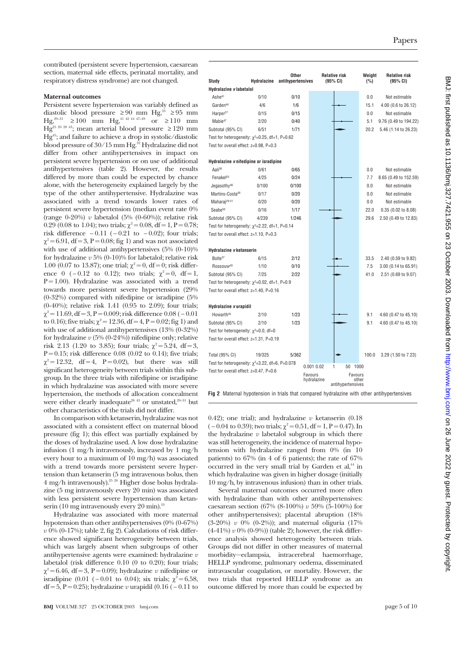contributed (persistent severe hypertension, caesarean section, maternal side effects, perinatal mortality, and respiratory distress syndrome) are not changed.

#### **Maternal outcomes**

Persistent severe hypertension was variably defined as diastolic blood pressure  $\geq 90$  mm Hg,<sup>33</sup>  $\geq 95$  mm Hg,<sup>29–31</sup> ≥ 100 mm Hg,<sup>41 42 44 47–49</sup> or ≥ 110 mm  $Hg^{25-26-28-43}$ ; mean arterial blood pressure  $\geq 120$  mm Hg45; and failure to achieve a drop in systolic/diastolic blood pressure of 30/15 mm Hg.<sup>32</sup> Hydralazine did not differ from other antihypertensives in impact on persistent severe hypertension or on use of additional antihypertensives (table 2). However, the results differed by more than could be expected by chance alone, with the heterogeneity explained largely by the type of the other antihypertensive. Hydralazine was associated with a trend towards lower rates of persistent severe hypertension (median event rate 0% (range 0-20%) *v* labetalol (5% (0-60%)); relative risk 0.29 (0.08 to 1.04); two trials;  $\chi^2$  = 0.08, df = 1, P = 0.78; risk difference  $-0.11$  ( $-0.21$  to  $-0.02$ ); four trials;  $\gamma^2 = 6.91$ , df = 3, P = 0.08; fig 1) and was not associated with use of additional antihypertensives (5% (0-10)% for hydralazine *v* 5% (0-10)% for labetalol; relative risk 1.00 (0.07 to 13.87); one trial;  $\chi^2 = 0$ , df = 0; risk difference 0 ( – 0.12 to 0.12); two trials;  $\chi^2 = 0$ , df = 1,  $P = 1.00$ ). Hydralazine was associated with a trend towards more persistent severe hypertension (29% (0-32%) compared with nifedipine or isradipine (5% (0-40%); relative risk 1.41 (0.95 to 2.09); four trials;  $\gamma^2 = 11.69$ , df = 3, P = 0.009; risk difference 0.08 ( – 0.01 to 0.16); five trials;  $\chi^2 = 12.36$ , df = 4, P = 0.02; fig 1) and with use of additional antihypertensives (13% (0-32%) for hydralazine  $v$  (5% (0-24%)) nifedipine only; relative risk 2.13 (1.20 to 3.85); four trials;  $\chi^2 = 5.24$ , df = 3,  $P = 0.15$ ; risk difference 0.08 (0.02 to 0.14); five trials;  $\chi^2 = 12.32$ , df = 4, P = 0.02), but there was still significant heterogeneity between trials within this subgroup. In the three trials with nifedipine or isradipine in which hydralazine was associated with more severe hypertension, the methods of allocation concealment were either clearly inadequate<sup>28 43</sup> or unstated,<sup>29-31</sup> but other characteristics of the trials did not differ.

In comparison with ketanserin, hydralazine was not associated with a consistent effect on maternal blood pressure (fig 1); this effect was partially explained by the doses of hydralazine used. A low dose hydralazine infusion (1 mg/h intravenously, increased by 1 mg/h every hour to a maximum of 10 mg/h) was associated with a trend towards more persistent severe hypertension than ketanserin (5 mg intravenous bolus, then 4 mg/h intravenously).25 26 Higher dose bolus hydralazine (5 mg intravenously every 20 min) was associated with less persistent severe hypertension than ketanserin (10 mg intravenously every 20 min). $33$ 

Hydralazine was associated with more maternal hypotension than other antihypertensives (0% (0-67%) *v* 0% (0-17%); table 2, fig 2). Calculations of risk difference showed significant heterogeneity between trials, which was largely absent when subgroups of other antihypertensive agents were examined: hydralazine *v* labetalol (risk difference 0.10 (0 to 0.20); four trials;  $\gamma^2 = 6.46$ , df = 3, P = 0.09); hydralazine *v* nifedipine or isradipine (0.01 (−0.01 to 0.04); six trials;  $\chi^2$  = 6.58, df = 5, P = 0.25); hydralazine *v* urapidil (0.16 ( − 0.11 to

| Study                                                    | Hydralazine | Other<br>antihypertensives |                        | <b>Relative risk</b><br>(95% CI) | Weight<br>$(\%)$ | <b>Relative risk</b><br>(95% CI) |
|----------------------------------------------------------|-------------|----------------------------|------------------------|----------------------------------|------------------|----------------------------------|
| Hydralazine v labetalol                                  |             |                            |                        |                                  |                  |                                  |
| Ashe <sup>41</sup>                                       | 0/10        | 0/10                       |                        |                                  | 0.0              | Not estimable                    |
| Garden <sup>44</sup>                                     | 4/6         | 1/6                        |                        |                                  | 15.1             | 4.00 (0.6 to 26.12)              |
| Harper <sup>27</sup>                                     | 0/15        | 0/15                       |                        |                                  | 0.0              | Not estimable                    |
| Mabie <sup>47</sup>                                      | 2/20        | 0/40                       |                        |                                  | 5.1              | 9.76 (0.49 to 194.22)            |
| Subtotal (95% CI)                                        | 6/51        | 1/71                       |                        |                                  | 20.2             | 5.46 (1.14 to 26.23)             |
| Test for heterogeneity: $\chi^2$ =0.25, df=1, P=0.62     |             |                            |                        |                                  |                  |                                  |
| Test for overall effect: z=0.98. P=0.3                   |             |                            |                        |                                  |                  |                                  |
| Hydralazine v nifedipine or isradipine                   |             |                            |                        |                                  |                  |                                  |
| Aali <sup>36</sup>                                       | 0/61        | 0/65                       |                        |                                  | 0.0              | Not estimable                    |
| Fenakel <sup>43</sup>                                    | 4/25        | 0/24                       |                        |                                  | 7.7              | 8.65 (0.49 to 152.59)            |
| Jegasothy <sup>46</sup>                                  | 0/100       | 0/100                      |                        |                                  | 0.0              | Not estimable                    |
| Martins-Costa <sup>48</sup>                              | 0/17        | 0/20                       |                        |                                  | 0.0              | Not estimable                    |
| Maharaj <sup>29-31</sup>                                 | 0/20        | 0/20                       |                        |                                  | 0.0              | Not estimable                    |
| Seabe <sup>50</sup>                                      | 0/16        | 1/17                       |                        |                                  | 22.0             | $0.35$ (0.02 to 8.08)            |
| Subtotal (95% CI)                                        | 4/239       | 1/246                      |                        |                                  | 29.6             | 2.50 (0.49 to 12.83)             |
| Test for heterogeneity: $\gamma^2 = 2.22$ , df=1, P=0.14 |             |                            |                        |                                  |                  |                                  |
| Test for overall effect: z=1.10, P=0.3                   |             |                            |                        |                                  |                  |                                  |
| Hydralazine v ketanserin                                 |             |                            |                        |                                  |                  |                                  |
| Bolte <sup>37</sup>                                      | 6/15        | 2/12                       |                        |                                  | 33.5             | 2.40 (0.59 to 9.82)              |
| Rossouw <sup>49</sup>                                    | 1/10        | 0/10                       |                        |                                  | 7.5              | 3.00 (0.14 to 65.91)             |
| Subtotal (95% CI)                                        | 7/25        | 2/22                       |                        |                                  | 41.0             | 2.51 (0.69 to 9.07)              |
| Test for heterogeneity: $\chi^2$ =0.02, df=1, P=0.9      |             |                            |                        |                                  |                  |                                  |
| Test for overall effect: $z=1.40$ , P=0.16               |             |                            |                        |                                  |                  |                                  |
| Hydralazine v urapidil                                   |             |                            |                        |                                  |                  |                                  |
| Howarth <sup>45</sup>                                    | 2/10        | 1/23                       |                        |                                  | 9.1              | 4.60 (0.47 to 45.10)             |
| Subtotal (95% CI)                                        | 2/10        | 1/23                       |                        |                                  | 9.1              | 4.60 (0.47 to 45.10)             |
| Test for heterogeneity: $\chi^2$ =0.0, df=0              |             |                            |                        |                                  |                  |                                  |
| Test for overall effect: z=1.31, P=0.19                  |             |                            |                        |                                  |                  |                                  |
| Total (95% CI)                                           | 19/325      | 5/362                      |                        |                                  | 100.0            | 3.29 (1.50 to 7.23)              |
| Test for heterogeneity: $\chi^2$ =3.22, df=6, P=0.078    |             |                            |                        |                                  |                  |                                  |
| Test for overall effect: z=0.47, P=0.6                   |             |                            | $0.001$ $0.02$         | 50 1000<br>1                     |                  |                                  |
|                                                          |             |                            | Favours<br>hydralazine | antihypertensives                | Favours<br>other |                                  |

**Fig 2** Maternal hypotension in trials that compared hydralazine with other antihypertensives

0.42); one trial); and hydralazine  $v$  ketanserin (0.18)  $(-0.04 \text{ to } 0.39)$ ; two trials;  $\gamma^2 = 0.51$ , df = 1, P = 0.47). In the hydralazine  $v$  labetalol subgroup in which there was still heterogeneity, the incidence of maternal hypotension with hydralazine ranged from 0% (in 10 patients) to 67% (in 4 of 6 patients); the rate of 67% occurred in the very small trial by Garden et  $al$ ,<sup>44</sup> in which hydralazine was given in higher dosage (initially 10 mg/h, by intravenous infusion) than in other trials.

Several maternal outcomes occurred more often with hydralazine than with other antihypertensives: caesarean section (67% (8-100%) *v* 59% (5-100%) for other antihypertensives); placental abruption (18% (3-20%) *v* 0% (0-2%)); and maternal oliguria (17% (4-41%) *v* 0% (0-9%)) (table 2); however, the risk difference analysis showed heterogeneity between trials. Groups did not differ in other measures of maternal morbidity—eclampsia, intracerebral haemorrhage, HELLP syndrome, pulmonary oedema, disseminated intravascular coagulation, or mortality*.* However, the two trials that reported HELLP syndrome as an outcome differed by more than could be expected by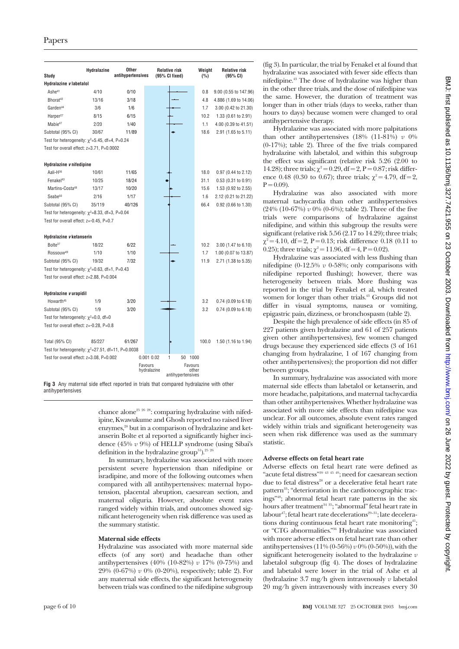| Study                                                    | Hydralazine | Other<br>antihypertensives | <b>Relative risk</b><br>(95% CI fixed) | Weight<br>(%)    | <b>Relative risk</b><br>(95% CI) |
|----------------------------------------------------------|-------------|----------------------------|----------------------------------------|------------------|----------------------------------|
| Hydralazine v labetalol                                  |             |                            |                                        |                  |                                  |
| Ashe <sup>41</sup>                                       | 4/10        | 0/10                       |                                        | 0.8              | 9.00 (0.55 to 147.96)            |
| Bhorat <sup>42</sup>                                     | 13/16       | 3/18                       |                                        | 4.8              | 4.886 (1.69 to 14.06)            |
| Garden <sup>44</sup>                                     | 3/6         | 1/6                        |                                        | 1.7              | 3.00 (0.42 to 21.30)             |
| Harper <sup>27</sup>                                     | 8/15        | 6/15                       |                                        | 10.2             | 1.33 (0.61 to 2.91)              |
| Mabie <sup>47</sup>                                      | 2/20        | 1/40                       |                                        | 1.1              | 4.00 (0.39 to 41.51)             |
| Subtotal (95% CI)                                        | 30/67       | 11/89                      |                                        | 18.6             | 2.91 (1.65 to 5.11)              |
| Test for heterogeneity: $\chi^2$ =5.45, df=4, P=0.24     |             |                            |                                        |                  |                                  |
| Test for overall effect: z=3.71, P=0.0002                |             |                            |                                        |                  |                                  |
|                                                          |             |                            |                                        |                  |                                  |
| Hydralazine v nifedipine                                 |             |                            |                                        |                  |                                  |
| Aali-H36                                                 | 10/61       | 11/65                      |                                        | 18.0             | 0.97 (0.44 to 2.12)              |
| Fenakel <sup>43</sup>                                    | 10/25       | 18/24                      |                                        | 31.1             | $0.53$ (0.31 to 0.91)            |
| Martins-Costa <sup>48</sup>                              | 13/17       | 10/20                      |                                        | 15.6             | 1.53 (0.92 to 2.55)              |
| Seabe <sup>50</sup>                                      | 2/16        | 1/17                       |                                        | 1.6              | 2.12 (0.21 to 21.22)             |
| Subtotal (95% CI)                                        | 35/119      | 40/126                     |                                        | 66.4             | 0.92 (0.66 to 1.30)              |
| Test for heterogeneity: $\chi^2$ =8.33, df=3, P=0.04     |             |                            |                                        |                  |                                  |
| Test for overall effect: z=-0.45, P=0.7                  |             |                            |                                        |                  |                                  |
|                                                          |             |                            |                                        |                  |                                  |
| Hydralazine v ketanserin                                 |             |                            |                                        |                  |                                  |
| Bolte <sup>37</sup>                                      | 18/22       | 6/22                       |                                        | 10.2             | 3.00 (1.47 to 6.10)              |
| Rossouw <sup>49</sup>                                    | 1/10        | 1/10                       |                                        | 1.7              | 1.00 (0.07 to 13.87)             |
| Subtotal (95% CI)                                        | 19/32       | 7/32                       |                                        | 11.9             | 2.71 (1.38 to 5.35)              |
| Test for heterogeneity: $\chi^2$ =0.63, df=1, P=0.43     |             |                            |                                        |                  |                                  |
| Test for overall effect: z=2.88, P=0.004                 |             |                            |                                        |                  |                                  |
|                                                          |             |                            |                                        |                  |                                  |
| Hydralazine v urapidil                                   |             |                            |                                        |                  |                                  |
| Howarth <sup>45</sup>                                    | 1/9         | 3/20                       |                                        | 3.2              | 0.74 (0.09 to 6.18)              |
| Subtotal (95% CI)                                        | 1/9         | 3/20                       |                                        | 3.2              | 0.74 (0.09 to 6.18)              |
| Test for heterogeneity: $\chi^2$ =0.0, df=0              |             |                            |                                        |                  |                                  |
| Test for overall effect: z=-0.28, P=0.8                  |             |                            |                                        |                  |                                  |
|                                                          |             |                            |                                        |                  |                                  |
| Total (95% CI)                                           | 85/227      | 61/267                     |                                        | 100.0            | 1.50 (1.16 to 1.94)              |
| Test for heterogeneity: $\chi^2$ =27.51, df=11, P=0.0038 |             |                            |                                        |                  |                                  |
| Test for overall effect: z=3.08, P=0.002                 |             |                            | 0.001 0.02<br>1<br>50 1000             |                  |                                  |
|                                                          |             |                            | Favours<br>hydralazine                 | Favours<br>other |                                  |
|                                                          |             |                            | antihypertensives                      |                  |                                  |

**Fig 3** Any maternal side effect reported in trials that compared hydralazine with other antihypertensives

> chance alone<sup>25</sup> <sup>26</sup> <sup>28</sup>: comparing hydralazine with nifedipine, Kwawukume and Ghosh reported no raised liver enzymes,<sup>28</sup> but in a comparison of hydralazine and ketanserin Bolte et al reported a significantly higher incidence (45% *v* 9%) of HELLP syndrome (using Sibai's definition in the hydralazine group<sup>51</sup>).<sup>25 26</sup>

In summary, hydralazine was associated with more persistent severe hypertension than nifedipine or isradipine, and more of the following outcomes when compared with all antihypertensives: maternal hypotension, placental abruption, caesarean section, and maternal oliguria. However, absolute event rates ranged widely within trials, and outcomes showed significant heterogeneity when risk difference was used as the summary statistic.

#### **Maternal side effects**

Hydralazine was associated with more maternal side effects (of any sort) and headache than other antihypertensives (40% (10-82%) *v* 17% (0-75%) and 29% (0-67%) *v* 0% (0-20%), respectively; table 2). For any maternal side effects, the significant heterogeneity between trials was confined to the nifedipine subgroup

(fig 3). In particular, the trial by Fenakel et al found that hydralazine was associated with fewer side effects than nifedipine.43 The dose of hydralazine was higher than in the other three trials, and the dose of nifedipine was the same. However, the duration of treatment was longer than in other trials (days to weeks, rather than hours to days) because women were changed to oral antihypertensive therapy.

Hydralazine was associated with more palpitations than other antihypertensives (18% (11-81%) *v* 0% (0-17%); table 2). Three of the five trials compared hydralazine with labetalol, and within this subgroup the effect was significant (relative risk 5.26 (2.00 to 14.28); three trials;  $\gamma^2 = 0.29$ , df = 2, P = 0.87; risk difference 0.48 (0.30 to 0.67); three trials;  $\chi^2 = 4.79$ , df = 2,  $P = 0.09$ 

Hydralazine was also associated with more maternal tachycardia than other antihypertensives (24% (10-67%) *v* 0% (0-6%); table 2). Three of the five trials were comparisons of hydralazine against nifedipine, and within this subgroup the results were significant (relative risk 5.56 (2.17 to 14.29); three trials;  $\chi^2$  = 4.10, df = 2, P = 0.13; risk difference 0.18 (0.11 to 0.25); three trials;  $\chi^2 = 11.96$ , df = 4, P = 0.02).

Hydralazine was associated with less flushing than nifedipine (0-12.5% *v* 0-58%; only comparisons with nifedipine reported flushing); however, there was heterogeneity between trials. More flushing was reported in the trial by Fenakel et al, which treated women for longer than other trials.<sup>43</sup> Groups did not differ in visual symptoms, nausea or vomiting, epigastric pain, dizziness, or bronchospasm (table 2).

Despite the high prevalence of side effects (in 85 of 227 patients given hydralazine and 61 of 257 patients given other antihypertensives), few women changed drugs because they experienced side effects (3 of 161 changing from hydralazine, 1 of 167 changing from other antihypertensives); the proportion did not differ between groups.

In summary, hydralazine was associated with more maternal side effects than labetalol or ketanserin, and more headache, palpitations, and maternal tachycardia than other antihypertensives. Whether hydralazine was associated with more side effects than nifedipine was unclear. For all outcomes, absolute event rates ranged widely within trials and significant heterogeneity was seen when risk difference was used as the summary statistic.

#### **Adverse effects on fetal heart rate**

Adverse effects on fetal heart rate were defined as "acute fetal distress"<sup>39 43 45 49</sup>; need for caesarean section due to fetal distress<sup>28</sup> or a decelerative fetal heart rate pattern<sup>33</sup>; "deterioration in the cardiotocographic tracings"48; abnormal fetal heart rate patterns in the six hours after treatment<sup>34</sup> <sup>35</sup>; "abnormal" fetal heart rate in labour<sup>47</sup>; fetal heart rate decelerations<sup>29–31</sup>; late decelerations during continuous fetal heart rate monitoring<sup>41</sup>; or "CTG abnormalities."36 Hydralazine was associated with more adverse effects on fetal heart rate than other antihypertensives (11% (0-56%) *v* 0% (0-50%)), with the significant heterogeneity isolated to the hydralazine *v* labetalol subgroup (fig 4). The doses of hydralazine and labetalol were lower in the trial of Ashe et al (hydralazine 3.7 mg/h given intravenously *v* labetalol 20 mg/h given intravenously with increases every 30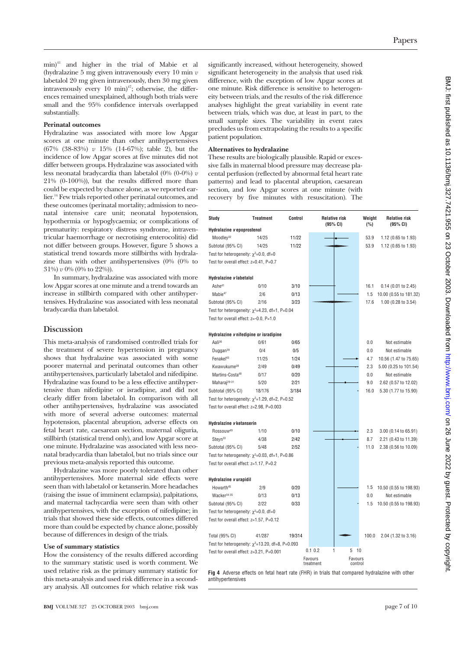min)41 and higher in the trial of Mabie et al (hydralazine 5 mg given intravenously every 10 min *v* labetalol 20 mg given intravenously, then 30 mg given intravenously every 10 min) $47$ ; otherwise, the differences remained unexplained, although both trials were small and the 95% confidence intervals overlapped substantially.

#### **Perinatal outcomes**

Hydralazine was associated with more low Apgar scores at one minute than other antihypertensives (67% (38-83%) *v* 15% (14-67%); table 2), but the incidence of low Apgar scores at five minutes did not differ between groups. Hydralazine was associated with less neonatal bradycardia than labetalol  $(0\% (0-0\%) v$ 21% (0-100%)), but the results differed more than could be expected by chance alone, as we reported earlier.14 Few trials reported other perinatal outcomes, and these outcomes (perinatal mortality; admission to neonatal intensive care unit; neonatal hypotension, hypothermia or hypoglycaemia; or complications of prematurity: respiratory distress syndrome, intraventricular haemorrhage or necrotising enterocolitis) did not differ between groups. However, figure 5 shows a statistical trend towards more stillbirths with hydralazine than with other antihypertensives (0% (0% to 31%) *v* 0% (0% to 22%)).

In summary, hydralazine was associated with more low Apgar scores at one minute and a trend towards an increase in stillbirth compared with other antihypertensives. Hydralazine was associated with less neonatal bradycardia than labetalol.

#### **Discussion**

This meta-analysis of randomised controlled trials for the treatment of severe hypertension in pregnancy shows that hydralazine was associated with some poorer maternal and perinatal outcomes than other antihypertensives, particularly labetalol and nifedipine. Hydralazine was found to be a less effective antihypertensive than nifedipine or isradipine, and did not clearly differ from labetalol. In comparison with all other antihypertensives, hydralazine was associated with more of several adverse outcomes: maternal hypotension, placental abruption, adverse effects on fetal heart rate, caesarean section, maternal oliguria, stillbirth (statistical trend only), and low Apgar score at one minute. Hydralazine was associated with less neonatal bradycardia than labetalol, but no trials since our previous meta-analysis reported this outcome.

Hydralazine was more poorly tolerated than other antihypertensives. More maternal side effects were seen than with labetalol or ketanserin. More headaches (raising the issue of imminent eclampsia), palpitations, and maternal tachycardia were seen than with other antihypertensives, with the exception of nifedipine; in trials that showed these side effects, outcomes differed more than could be expected by chance alone, possibly because of differences in design of the trials.

#### **Use of summary statistics**

How the consistency of the results differed according to the summary statistic used is worth comment. We used relative risk as the primary summary statistic for this meta-analysis and used risk difference in a secondary analysis. All outcomes for which relative risk was significantly increased, without heterogeneity, showed significant heterogeneity in the analysis that used risk difference, with the exception of low Apgar scores at one minute. Risk difference is sensitive to heterogeneity between trials, and the results of the risk difference analyses highlight the great variability in event rate between trials, which was due, at least in part, to the small sample sizes. The variability in event rates precludes us from extrapolating the results to a specific patient population.

#### **Alternatives to hydralazine**

These results are biologically plausible. Rapid or excessive falls in maternal blood pressure may decrease placental perfusion (reflected by abnormal fetal heart rate patterns) and lead to placental abruption, caesarean section, and low Apgar scores at one minute (with recovery by five minutes with resuscitation). The

| Study                                                  | Treatment | Control |                      | <b>Relative risk</b><br>(95% CI) | Weight<br>(%) | <b>Relative risk</b><br>(95% CI) |
|--------------------------------------------------------|-----------|---------|----------------------|----------------------------------|---------------|----------------------------------|
| Hydralazine vepoprostenol                              |           |         |                      |                                  |               |                                  |
| Moodley <sup>32</sup>                                  | 14/25     | 11/22   |                      |                                  | 53.9          | 1.12 (0.65 to 1.93)              |
| Subtotal (95% CI)                                      | 14/25     | 11/22   |                      |                                  | 53.9          | 1.12 (0.65 to 1.93)              |
| Test for heterogeneity: $\chi^2$ =0.0, df=0            |           |         |                      |                                  |               |                                  |
| Test for overall effect: z=0.41, P=0.7                 |           |         |                      |                                  |               |                                  |
| Hydralazine v labetalol                                |           |         |                      |                                  |               |                                  |
| Ashe <sup>41</sup>                                     | 0/10      | 3/10    |                      |                                  | 16.1          | $0.14$ (0.01 to 2.45)            |
| Mabie <sup>47</sup>                                    | 2/6       | 0/13    |                      |                                  | 1.5           | 10.00 (0.55 to 181.32)           |
| Subtotal (95% CI)                                      | 2/16      | 3/23    |                      |                                  | 17.6          | 1.00 (0.28 to 3.54)              |
| Test for heterogeneity: $\chi^2$ =4.23, df=1, P=0.04   |           |         |                      |                                  |               |                                  |
| Test for overall effect: z=-0.0, P=1.0                 |           |         |                      |                                  |               |                                  |
| Hydralazine v nifedipine or isradipine                 |           |         |                      |                                  |               |                                  |
| Aali <sup>36</sup>                                     | 0/61      | 0/65    |                      |                                  | 0.0           | Not estimable                    |
| Duggan <sup>39</sup>                                   | 0/4       | 0/5     |                      |                                  | 0.0           | Not estimable                    |
| Fenakel <sup>43</sup>                                  | 11/25     | 1/24    |                      |                                  | 4.7           | 10.56 (1.47 to 75.65)            |
| Kwawukume <sup>28</sup>                                | 2/49      | 0/49    |                      |                                  | 2.3           | 5.00 (0.25 to 101.54)            |
| Martins-Costa <sup>48</sup>                            | 0/17      | 0/20    |                      |                                  | 0.0           | Not estimable                    |
| Maharai <sup>29-31</sup>                               | 5/20      | 2/21    |                      |                                  | 9.0           | 2.62 (0.57 to 12.02)             |
| Subtotal (95% CI)                                      | 18/176    | 3/184   |                      |                                  | 16.0          | 5.30 (1.77 to 15.90)             |
| Test for heterogeneity: $\chi^2$ =1.29, df=2, P=0.52   |           |         |                      |                                  |               |                                  |
| Test for overall effect: z=2.98, P=0.003               |           |         |                      |                                  |               |                                  |
|                                                        |           |         |                      |                                  |               |                                  |
| Hydralazine v ketanserin                               |           |         |                      |                                  |               |                                  |
| Rossouw <sup>49</sup>                                  | 1/10      | 0/10    |                      |                                  | 2.3           | 3.00 (0.14 to 65.91)             |
| Steyn <sup>33</sup>                                    | 4/38      | 2/42    |                      |                                  | 8.7           | 2.21 (0.43 to 11.39)             |
| Subtotal (95% CI)                                      | 5/48      | 2/52    |                      |                                  | 11.0          | 2.38 (0.56 to 10.09)             |
| Test for heterogeneity: $\chi^2$ =0.03, df=1, P=0.86   |           |         |                      |                                  |               |                                  |
| Test for overall effect: z=1.17, P=0.2                 |           |         |                      |                                  |               |                                  |
| Hydralazine v urapidil                                 |           |         |                      |                                  |               |                                  |
| Howarth <sup>45</sup>                                  | 2/9       | 0/20    |                      |                                  | 1.5           | 10.50 (0.55 to 198.93)           |
| Wacker <sup>34</sup> 35                                | 0/13      | 0/13    |                      |                                  | 0.0           | Not estimable                    |
| Subtotal (95% CI)                                      | 2/22      | 0/33    |                      |                                  | 1.5           | 10.50 (0.55 to 198.93)           |
| Test for heterogeneity: $\chi^2$ =0.0, df=0            |           |         |                      |                                  |               |                                  |
| Test for overall effect: z=1.57, P=0.12                |           |         |                      |                                  |               |                                  |
| Total (95% CI)                                         | 41/287    | 19/314  |                      |                                  | 100.0         | 2.04 (1.32 to 3.16)              |
| Test for heterogeneity: $\chi^2$ =13.20, df=8, P=0.093 |           |         |                      |                                  |               |                                  |
| Test for overall effect: z=3.21, P=0.001               |           |         | 0.1 0.2              | 10<br>1<br>5                     |               |                                  |
|                                                        |           |         | Favours<br>treatment | Favours<br>control               |               |                                  |
|                                                        |           |         |                      |                                  |               |                                  |

**Fig 4** Adverse effects on fetal heart rate (FHR) in trials that compared hydralazine with other antihypertensives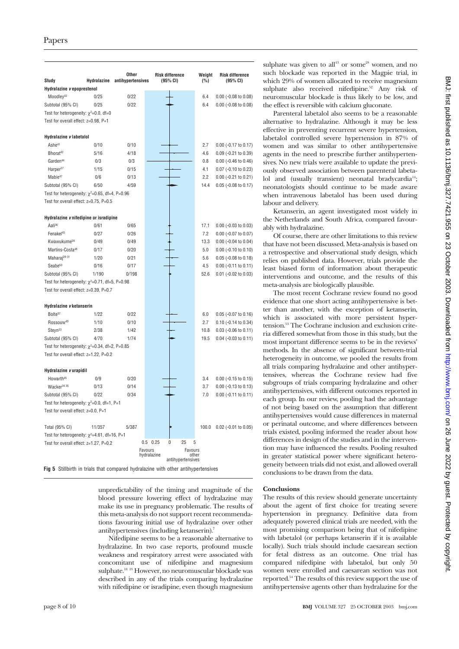| Study                                                    | <b>Hydralazine</b> | Other<br>antihypertensives | <b>Risk difference</b><br>(95% CI) | Weight<br>(%)    | <b>Risk difference</b><br>(95% CI) |
|----------------------------------------------------------|--------------------|----------------------------|------------------------------------|------------------|------------------------------------|
| Hydralazine vepoprestenol                                |                    |                            |                                    |                  |                                    |
| Moodley <sup>32</sup>                                    | 0/25               | 0/22                       |                                    | 6.4              | $0.00$ (-0.08 to 0.08)             |
| Subtotal (95% CI)                                        | 0/25               | 0/22                       |                                    | 6.4              | $0.00$ (-0.08 to 0.08)             |
| Test for heterogeneity: $\chi^2$ =0.0, df=0              |                    |                            |                                    |                  |                                    |
| Test for overall effect: z=0.98, P=1                     |                    |                            |                                    |                  |                                    |
|                                                          |                    |                            |                                    |                  |                                    |
| Hydralazine v labetalol                                  |                    |                            |                                    |                  |                                    |
| Ashe <sup>41</sup>                                       | 0/10               | 0/10                       |                                    | 2.7              | 0.00 (-0.17 to 0.17)               |
| Bhorat <sup>42</sup>                                     | 5/16               | 4/18                       |                                    | 4.6              | 0.09 (-0.21 to 0.39)               |
| Garden <sup>44</sup>                                     | 0/3                | 0/3                        |                                    | 0.8              | $0.00$ (-0.46 to 0.46)             |
| Harper <sup>27</sup>                                     | 1/15               | 0/15                       |                                    | 4.1              | 0.07 (-0.10 to 0.23)               |
| Mabie <sup>47</sup>                                      | 0/6                | 0/13                       |                                    | 2.2              | 0.00 (-0.21 to 0.21)               |
| Subtotal (95% CI)                                        | 6/50               | 4/59                       |                                    | 14.4             | 0.05 (-0.08 to 0.17)               |
| Test for heterogeneity: $\gamma^2 = 0.65$ , df=4, P=0.96 |                    |                            |                                    |                  |                                    |
| Test for overall effect: z=0.75, P=0.5                   |                    |                            |                                    |                  |                                    |
|                                                          |                    |                            |                                    |                  |                                    |
| Hydralazine v nifedipine or isradipine                   |                    |                            |                                    |                  |                                    |
| Aali <sup>36</sup>                                       | 0/61               | 0/65                       |                                    | 17.1             | $0.00$ (-0.03 to 0.03)             |
| Fenakel <sup>43</sup>                                    | 0/27               | 0/26                       |                                    | 7.2              | $0.00$ (-0.07 to 0.07)             |
| Kwawukume <sup>28</sup>                                  | 0/49               | 0/49                       |                                    | 13.3             | $0.00$ (-0.04 to 0.04)             |
| Martins-Costa <sup>48</sup>                              | 0/17               | 0/20                       |                                    | 5.0              | $0.00$ (-0.10 to 0.10)             |
| Maharai <sup>29-31</sup>                                 | 1/20               | 0/21                       |                                    | 5.6              | 0.05 (-0.08 to 0.18)               |
| Seabe <sup>50</sup>                                      | 0/16               | 0/17                       |                                    | 4.5              | $0.00$ (-0.11 to 0.11)             |
| Subtotal (95% CI)                                        | 1/190              | 0/198                      |                                    | 52.6             | $0.01$ (-0.02 to 0.03)             |
| Test for heterogeneity: $\chi^2$ =0.71, df=5, P=0.98     |                    |                            |                                    |                  |                                    |
| Test for overall effect: z=0.39, P=0.7                   |                    |                            |                                    |                  |                                    |
|                                                          |                    |                            |                                    |                  |                                    |
| Hydralazine v ketanserin<br>Bolte <sup>37</sup>          | 1/22               | 0/22                       |                                    | 6.0              | $0.05$ (-0.07 to 0.16)             |
| Rossouw <sup>49</sup>                                    | 1/10               | 0/10                       |                                    | 2.7              | 0.10 (-0.14 to 0.34)               |
| Steyn <sup>33</sup>                                      | 2/38               | 1/42                       |                                    | 10.8             | $0.03$ (-0.06 to 0.11)             |
| Subtotal (95% CI)                                        | 4/70               | 1/74                       |                                    | 19.5             | $0.04$ (-0.03 to 0.11)             |
| Test for heterogeneity: $\chi^2$ =0.34, df=2, P=0.85     |                    |                            |                                    |                  |                                    |
| Test for overall effect: z=1.22, P=0.2                   |                    |                            |                                    |                  |                                    |
|                                                          |                    |                            |                                    |                  |                                    |
| Hydralazine v urapidil                                   |                    |                            |                                    |                  |                                    |
| Howarth <sup>45</sup>                                    | 0/9                | 0/20                       |                                    | 3.4              | $0.00$ (-0.15 to 0.15)             |
| Wacker <sup>34</sup> 35                                  | 0/13               | 0/14                       |                                    | 3.7              | $0.00$ (-0.13 to 0.13)             |
| Subtotal (95% CI)                                        | 0/22               | 0/34                       |                                    | 7.0              | 0.00 (-0.11 to 0.11)               |
| Test for heterogeneity: $\chi^2$ =0.0, df=1, P=1         |                    |                            |                                    |                  |                                    |
| Test for overall effect: z=0.0, P=1                      |                    |                            |                                    |                  |                                    |
|                                                          |                    |                            |                                    |                  |                                    |
| Total (95% CI)                                           | 11/357             | 5/387                      |                                    | 100.0            | $0.02$ (-0.01 to 0.05)             |
| Test for heterogeneity: $\chi^2$ =4.61, df=16, P=1       |                    |                            |                                    |                  |                                    |
| Test for overall effect: z=1.27, P=0.2                   |                    |                            | 25<br>$\mathbf{0}$<br>$0.5$ 0.25   | 5                |                                    |
|                                                          |                    |                            | Favours<br>hydralazine             | Favours<br>nther |                                    |
|                                                          |                    |                            | antihypertensives                  |                  |                                    |

**Fig 5** Stillbirth in trials that compared hydralazine with other antihypertensives

unpredictability of the timing and magnitude of the blood pressure lowering effect of hydralazine may make its use in pregnancy problematic. The results of this meta-analysis do not support recent recommendations favouring initial use of hydralazine over other antihypertensives (including ketanserin).7

Nifedipine seems to be a reasonable alternative to hydralazine. In two case reports, profound muscle weakness and respiratory arrest were associated with concomitant use of nifedipine and magnesium sulphate.<sup>18 19</sup> However, no neuromuscular blockade was described in any of the trials comparing hydralazine with nifedipine or isradipine, even though magnesium

sulphate was given to all<sup>43</sup> or some<sup>28</sup> women, and no such blockade was reported in the Magpie trial, in which 29% of women allocated to receive magnesium sulphate also received nifedipine.<sup>52</sup> Any risk of neuromuscular blockade is thus likely to be low, and the effect is reversible with calcium gluconate.

Parenteral labetalol also seems to be a reasonable alternative to hydralazine. Although it may be less effective in preventing recurrent severe hypertension, labetalol controlled severe hypertension in 87% of women and was similar to other antihypertensive agents in the need to prescribe further antihypertensives. No new trials were available to update the previously observed association between parenteral labetalol and (usually transient) neonatal bradycardia<sup>14</sup>; neonatologists should continue to be made aware when intravenous labetalol has been used during labour and delivery.

Ketanserin, an agent investigated most widely in the Netherlands and South Africa, compared favourably with hydralazine.

Of course, there are other limitations to this review that have not been discussed. Meta-analysis is based on a retrospective and observational study design, which relies on published data. However, trials provide the least biased form of information about therapeutic interventions and outcome, and the results of this meta-analysis are biologically plausible.

The most recent Cochrane review found no good evidence that one short acting antihypertensive is better than another, with the exception of ketanserin, which is associated with more persistent hypertension.53 The Cochrane inclusion and exclusion criteria differed somewhat from those in this study, but the most important difference seems to be in the reviews' methods. In the absence of significant between-trial heterogeneity in outcome, we pooled the results from all trials comparing hydralazine and other antihypertensives, whereas the Cochrane review had five subgroups of trials comparing hydralazine and other antihypertensives, with different outcomes reported in each group. In our review, pooling had the advantage of not being based on the assumption that different antihypertensives would cause differences in maternal or perinatal outcome, and where differences between trials existed, pooling informed the reader about how differences in design of the studies and in the intervention may have influenced the results. Pooling resulted in greater statistical power where significant heterogeneity between trials did not exist, and allowed overall conclusions to be drawn from the data.

#### **Conclusions**

The results of this review should generate uncertainty about the agent of first choice for treating severe hypertension in pregnancy. Definitive data from adequately powered clinical trials are needed, with the most promising comparison being that of nifedipine with labetalol (or perhaps ketanserin if it is available locally). Such trials should include caesarean section for fetal distress as an outcome. One trial has compared nifedipine with labetalol, but only 50 women were enrolled and caesarean section was not reported.54 The results of this review support the use of antihypertensive agents other than hydralazine for the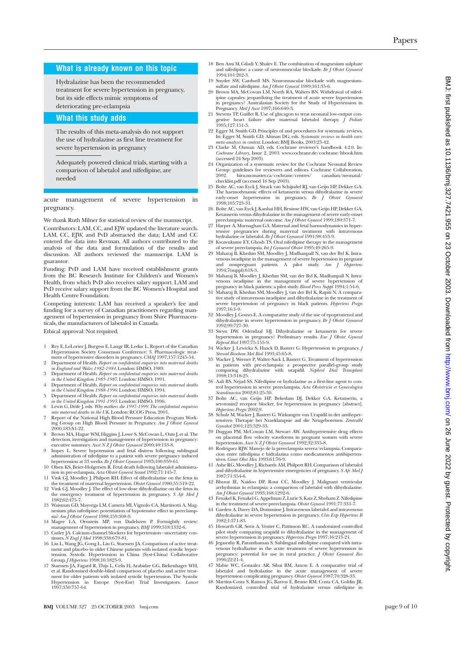### **What is already known on this topic**

Hydralazine has been the recommended treatment for severe hypertension in pregnancy, but its side effects mimic symptoms of deteriorating pre-eclampsia

### **What this study adds**

The results of this meta-analysis do not support the use of hydralazine as first line treatment for severe hypertension in pregnancy

Adequately powered clinical trials, starting with a comparison of labetalol and nifedipine, are needed

acute management of severe hypertension in pregnancy.

We thank Ruth Milner for statistical review of the manuscript. Contributors: LAM, CC, and EJW updated the literature search. LAM, CC, EJW, and PvD abstracted the data; LAM and CC entered the data into Revman. All authors contributed to the analysis of the data and formulation of the results and discussion. All authors reviewed the manuscript. LAM is guarantor.

Funding: PvD and LAM have received establishment grants from the BC Research Institute for Children's and Women's Health, from which PvD also receives salary support. LAM and PvD receive salary support from the BC Women's Hospital and Health Centre Foundation.

Competing interests: LAM has received a speaker's fee and funding for a survey of Canadian practitioners regarding management of hypertension in pregnancy from Shire Pharmaceuticals, the manufacturers of labetalol in Canada.

Ethical approval: Not required.

- 1 Rey E, LeLorier J, Burgess E, Lange IR, Leduc L. Report of the Canadian Hypertension Society Consensus Conference: 3. Pharmacologic treat-ment of hypertensive disorders in pregnancy. *CMAJ* 1997;157:1245-54.
- 2 Department of Health. *Report on confidential enquiries into maternal deaths in England and Wales 1982-1984*. London: HMSO, 1989.
- 3 Department of Health. *Report on confidential enquiries into maternal deaths*
- in the United Kingdom 1985-1987. London: HMSO, 1991.<br>
4 Department of Health. Report on confideratial enquiries into maternal deaths<br>
in the United Kingdom 1988-1990. London: HMSO, 1994.<br>
5 Department of Health. Report on
- 
- 
- ing Group on High Blood Pressure in Pregnancy. *Am J Obstet Gynecol* 2000;183:S1-22. 8 Brown MA, Hague WM, Higgins J, Lowe S, McCowan L, Oats J, et al. The detection, investigation and management of hypertension in pregnancy: executive summary. Aust NZ J Obstet Gynaecol 2000;40:133-8.<br>The executive summary
- administration of nifedipine to a patient with severe pregnancy induced hypertension at 33 weeks. *Br J Obstet Gynaecol* 1993;100:959-61.
- 10 Olsen KS, Beier-Holgersen R. Fetal death following labetalol administra-tion in pre-eclampsia. *Acta Obstet Gynecol Scand* 1992;71:145-7.
- 11 Vink GJ, Moodley J, Philpott RH. Effect of dihydralazine on the fetus in the treatment of maternal hypertension. *Obstet Gynecol* 1980;55:519-22. 12 Vink GJ, Moodley J. The effect of low-dose dihydrallazine on the fetus in
- the emergency treatment of hypertension in pregnancy. *S Afr Med J* 1982;62:475-7.
- 13 Waisman GD, Mayorga LM, Camera MI, Vignolo CA, Martinotti A. Magnesium plus nifedipine: potentiation of hypotensive effect in preeclamp-sia? *Am J Obstet Gynecol* 1988;159:308-9. 14 Magee LA, Ornstein MP, von Dadelszen P. Fortnightly review:
- management of hypertension in pregnancy. *BMJ* 1999;318:1332-6.
- 15 Cutler JA. Calcium-channel blockers for hypertension—uncertainty con-tinues. *N Engl J Med* 1998;338:679-81.
- 16 Liu L, Wang JG, Gong L, Liu G, Staessen JA. Comparison of active treat-ment and placebo in older Chinese patients with isolated systolic hypertension. Systolic Hypertension in China (Syst-China) Collaborative Group. *J Hypertens* 1998;16:1823-9.
- 17 Staessen JA, Fagard R, Thijs L, Celis H, Arabidze GG, Birkenhager WH, et al. Randomised double-blind comparison of placebo and active treatment for older patients with isolated systolic hypertension. The Systolic Hypertension in Europe (Syst-Eur) Trial Investigators. *Lancet* Hypertension ir<br>1997:350:757-64.
- 18 Ben Ami M, Giladi Y, Shalev E. The combination of magnesium sulphate and nifedipine: a cause of neuromuscular blockade. *Br J Obstet Gynaecol* 1994;101:262-3.
- 19 Snyder SW, Cardwell MS. Neuromuscular blockade with magnesiumsulfate and nifedipine. *Am J Obstet Gynecol* 1989;161:35-6.
- 20 Brown MA, McCowan LM, North RA, Walters BN. Withdrawal of nifedipine capsules: jeopardizing the treatment of acute severe hypertension in pregnancy? Australasian Society for the Study of Hypertension in Pregnancy. *Med J Aust* 1997;166:640-3.
- 21 Stevens TP, Guillet R. Use of glucagon to treat neonatal low-output congestive heart failure after maternal labetalol therapy. *J Pediatr* 1995;127:151-3.
- 22 Egger M, Smith GD. Principles of and procedures for systematic reviews. In: Egger M, Smith GD, Altman DG, eds. *Systematic reviews in health care:*
- *meta-analysis in context*. London: BMJ Books, 2003:23-42. 23 Clarke M, Oxman AD, eds. Cochrane reviewer's handbook 4.2.0. In: *Cochrane Library*, Issue 2, 2003. www.cochrane.de/cochrane/hbook.htm (accessed 24 Sep 2003).
- 24 Organization of a systematic review for the Cochrane Neonatal Review Group: guidelines for reviewers and editors. Cochrane Collaboration, 2002. hiru.mcmaster.ca/cochrane/centres/ canadian/neonatal/ checklist.pdf (accessed 16 Sep 2003).
- 25 Bolte AC, van Eyck J, Strack van Schijndel RJ, van Geijn HP, Dekker GA. The haemodynamic effects of ketanserin versus dihydralazine in severe early-onset hypertension in pregnancy. *Br J Obstet Gynaecol* 1998;105:723-31.
- 26 Bolte AC, van Eyck J, Kanhai HH, Bruinse HW, van Geijn HP, Dekker GA. Ketanserin versus dihydralazine in the management of severe early-onset
- preeclampsia: maternal outcome. *Am J Obstet Gynecol* 1999;180:371-7. 27 Harper A, Murnaghan GA. Maternal and fetal haemodynamics in hypertensive pregnancies during maternal treatment with intravenous hydralazine or labetalol. *Br J Obstet Gynaecol* 1991;98:453-9.
- 28 Kwawukume EY, Ghosh TS. Oral nifedipine therapy in the management
- of severe preeclampsia. *Int J Gynaecol Obstet* 1995;49:265-9. 29 Maharaj B, Khedun SM, Moodley J, Madhanpall N, van der Byl K. Intravenous isradipine in the management of severe hypertension in pregnant and nonpregnant patients. A pilot study. *Am J Hypertens* 1994;7(suppl):61S-3.
- 30 Maharaj B, Moodley J, Khedun SM, van der Byl K, Madhanpall N. Intravenous isradipine in the management of severe hypertension of<br>pregnancy in black patients: a pilot study. *Blood Press Suppi* 1994;1:54-6.<br>31 Maharaj B, Khedun SM, Moodley J, van der Byl K, Rapiti N. A compara-
- tive study of intravenous isradipine and dihydralazine in the treatment of severe hypertension of pregnancy in black patients. *Hypertens Pregn* 1997;16:1-9.
- 32 Moodley J, Gouws E. A comparative study of the use of epoprostenol and dihydralazine in severe hypertension in pregnancy. *Br J Obstet Gynaecol* 1992;99:727-30.
- 33 Steyn DW, Odendaal HJ. Dihydralazine or ketanserin for severe hypertension in pregnancy? Preliminary results. *Eur J Obstet Gynecol Reprod Biol* 1997;75:155-9.
- 34 Wacker J, Lewicka S, Haack D, Bastert G. Hypertension in pregnancy. *J Steroid Biochem Mol Biol* 1993;45:65-8.
- 35 Wacker J, Werner P, Walter-Sack I, Bastert G. Treatment of hypertension in patients with pre-eclampsia: a prospective parallel-group study comparing dihydralazine with urapidil. *Nephrol Dial Transplant* 1998;13:318-25.
- 36 Aali BS, Nejad SS. Nifedipine or hydralazine as a first-line agent to control hypertension in severe preeclampsia. *Acta Obstetricia et Gynecologica Scandinavica* 2002;81:25-30.
- 37 Bolte AC, van Geijn HP, Bekedam DJ, Dekker GA. Ketanserin, a serotonin2 receptor blocker, for hypertension in pregnancy [abstract]. *Hypertens Pregn* 2002;9.
- 38 Schulz M, Wacker J, Bastert G. Wirkungen von Urapidil in der antihypertensiven Therapie bei Nraeklampsie auf die Neugeborenen. *Zentralbl Gynakol* 2001;123:529-33.
- 39 Duggan PM, McCowan LM, Stewart AW. Antihypertensive drug effects on placental flow velocity waveforms in pregnant women with severe hypertension. *Aust N Z J Obstet Gynaecol* 1992;32:335-8.
- 40 Rodriguez RJW. Manejo de la preeclampsia severa/eclampsia. Compara-cion entre nifedipina e hidralazina como medicamentos antihiperten-sivos. *Ginec Obst Mex* 1993;61:76-9.
- 41 Ashe RG, Moodley J, Richards AM, Philpott RH. Comparison of labetalol and dihydralazine in hypertensive emergencies of pregnancy. *S Afr Med J* 1987;71:354-6.
- 42 Bhorat IE, Naidoo DP, Rout CC, Moodley J. Malignant ventricular arrhythmias in eclampsia: a comparison of labetalol with dihydralazine. *Am J Obstet Gynecol* 1993;168:1292-6.
- 43 Fenakel K, Fenakel G, Appelman Z, Lurie S, Katz Z, Shoham Z. Nifedipine in the treatment of severe preeclampsia. *Obstet Gynecol* 1991;77:331-7.
- 44 Garden A, Davey DA, Dommisse J. Intravenous labetalol and intravenous dihydralazine in severe hypertension in pregnancy. *Clin Exp Hypertens B* 1982;1:371-83.
- 45 Howarth GR, Seris A, Venter C, Pattinson RC. A randomized controlled pilot study comparing urapidil to dihydralazine in the management of
- severe hypertension in pregnancy. *Hypertens Pregn* 1997;16:213-21. 46 Jegasothy R, Paranthaman S. Sublingual nifedipine compared with intravenous hydrallazine in the acute treatment of severe hypertension in pregnancy: potential for use in rural practice. *J Obstet Gynaecol Res* 1996;22:21-4.
- 47 Mabie WC, Gonzalez AR, Sibai BM, Amon E. A comparative trial of
- labetalol and hydralazine in the acute management of severe<br>hypertension complicating pregnancy. *Obstet Gynecol* 1987;70:328-33.<br>A48 Martins-Costa S, Ramos JG, Barros E, Bruno RM, Costa CA, Goldin JR.<br>Randomized, controll